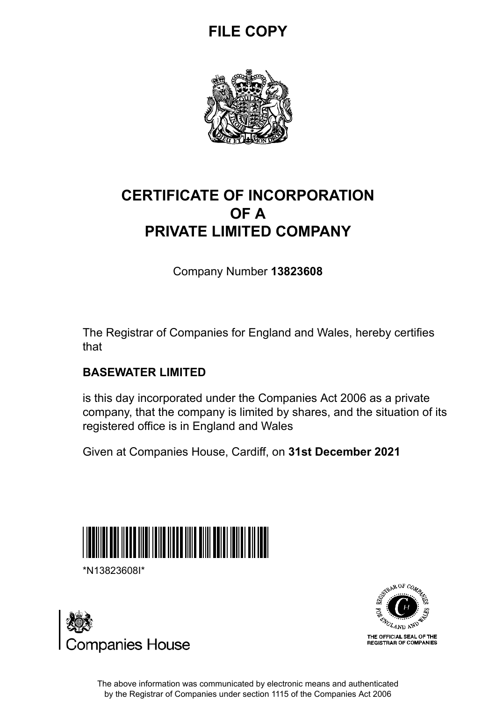## **FILE COPY**



## **CERTIFICATE OF INCORPORATION OF A PRIVATE LIMITED COMPANY**

Company Number **13823608**

The Registrar of Companies for England and Wales, hereby certifies that

### **BASEWATER LIMITED**

is this day incorporated under the Companies Act 2006 as a private company, that the company is limited by shares, and the situation of its registered office is in England and Wales

Given at Companies House, Cardiff, on **31st December 2021**



\*N13823608I\*





The above information was communicated by electronic means and authenticated by the Registrar of Companies under section 1115 of the Companies Act 2006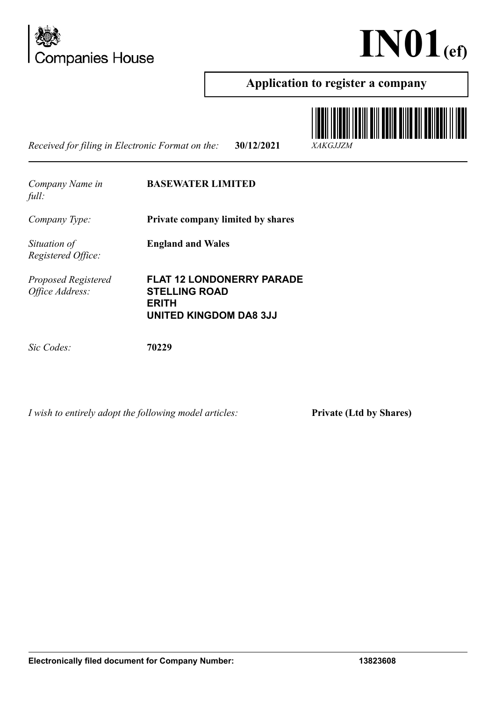



### **Application to register a company**

*Received for filing in Electronic Format on the:* **30/12/2021** *XAKGJJZM*



| Company Name in |  |
|-----------------|--|
| full:           |  |

#### **BASEWATER LIMITED**

*Company Type:* **Private company limited by shares**

**England and Wales**

*Situation of Registered Office:*

*Proposed Registered Office Address:*

**FLAT 12 LONDONERRY PARADE STELLING ROAD ERITH UNITED KINGDOM DA8 3JJ**

*Sic Codes:* **70229**

*I wish to entirely adopt the following model articles:* **Private (Ltd by Shares)**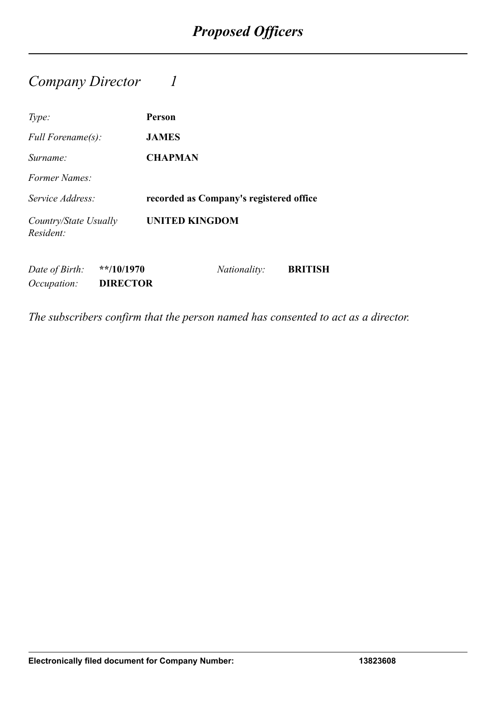### *Company Director 1*

| Type:                              |                                 | <b>Person</b>                           |
|------------------------------------|---------------------------------|-----------------------------------------|
| Full Forename(s):                  |                                 | <b>JAMES</b>                            |
| Surname:                           |                                 | <b>CHAPMAN</b>                          |
| Former Names:                      |                                 |                                         |
| Service Address:                   |                                 | recorded as Company's registered office |
| Country/State Usually<br>Resident: |                                 | <b>UNITED KINGDOM</b>                   |
| Date of Birth:<br>Occupation:      | $**/10/1970$<br><b>DIRECTOR</b> | <b>BRITISH</b><br><i>Nationality:</i>   |

*The subscribers confirm that the person named has consented to act as a director.*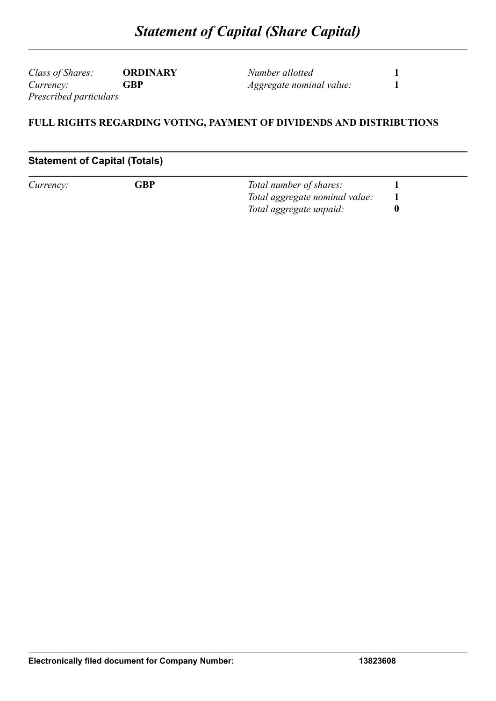*Class of Shares:* **ORDINARY** *Currency:* **GBP** *Prescribed particulars*

*Number allotted* **1** *Aggregate nominal value:* **1**

#### **FULL RIGHTS REGARDING VOTING, PAYMENT OF DIVIDENDS AND DISTRIBUTIONS**

#### **Statement of Capital (Totals)**

| Currency: | ${\mathsf G} {\mathsf B} {\mathsf P}$ | Total number of shares:        |  |
|-----------|---------------------------------------|--------------------------------|--|
|           |                                       | Total aggregate nominal value: |  |
|           |                                       | Total aggregate unpaid:        |  |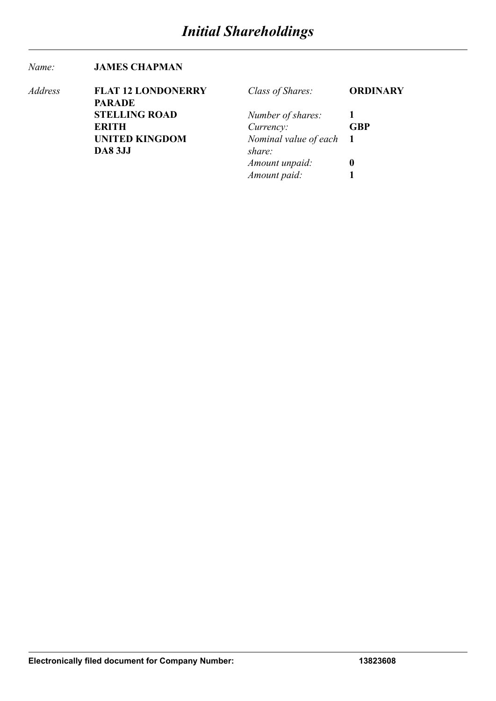#### *Name:* **JAMES CHAPMAN**

| Address | <b>FLAT 12 LONDONERRY</b> | Class of Shares:        | <b>ORDINARY</b> |
|---------|---------------------------|-------------------------|-----------------|
|         | <b>PARADE</b>             |                         |                 |
|         | <b>STELLING ROAD</b>      | Number of shares:       |                 |
|         | <b>ERITH</b>              | Currency:               | <b>GBP</b>      |
|         | <b>UNITED KINGDOM</b>     | Nominal value of each 1 |                 |
|         | <b>DA8 3JJ</b>            | share:                  |                 |
|         |                           | Amount unpaid:          | $\mathbf 0$     |
|         |                           | Amount paid:            |                 |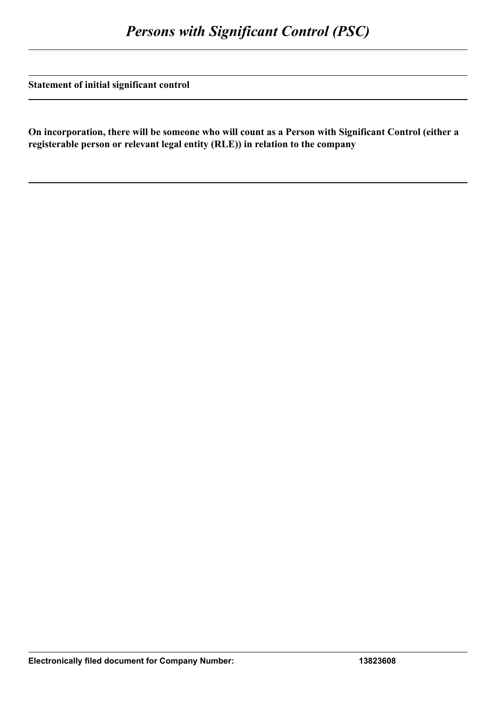**Statement of initial significant control**

**On incorporation, there will be someone who will count as a Person with Significant Control (either a registerable person or relevant legal entity (RLE)) in relation to the company**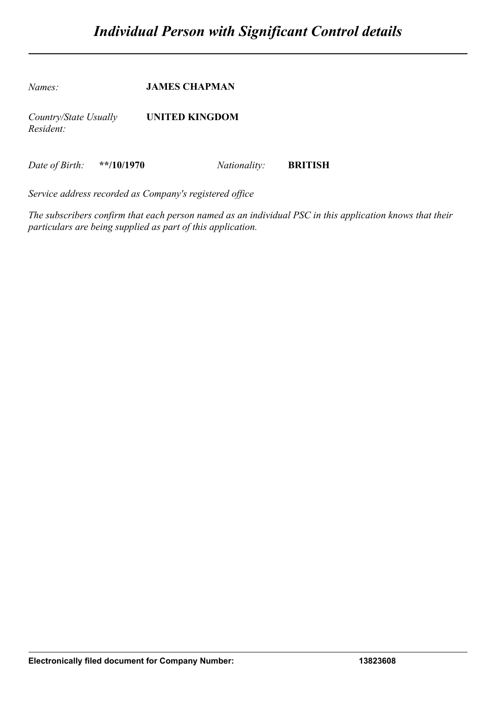*Names:* **JAMES CHAPMAN** *Country/State Usually Resident:* **UNITED KINGDOM** *Date of Birth:* **\*\*/10/1970** *Nationality:* **BRITISH**

*Service address recorded as Company's registered office*

*The subscribers confirm that each person named as an individual PSC in this application knows that their particulars are being supplied as part of this application.*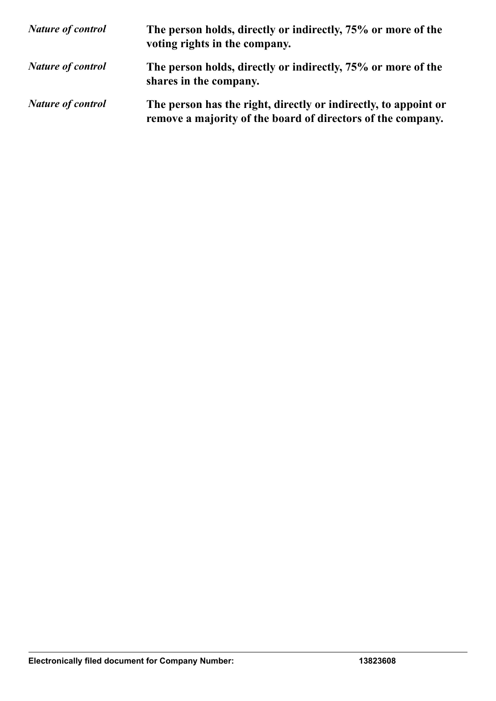| <b>Nature of control</b> | The person holds, directly or indirectly, 75% or more of the<br>voting rights in the company.                                  |
|--------------------------|--------------------------------------------------------------------------------------------------------------------------------|
| <b>Nature of control</b> | The person holds, directly or indirectly, 75% or more of the<br>shares in the company.                                         |
| <b>Nature of control</b> | The person has the right, directly or indirectly, to appoint or<br>remove a majority of the board of directors of the company. |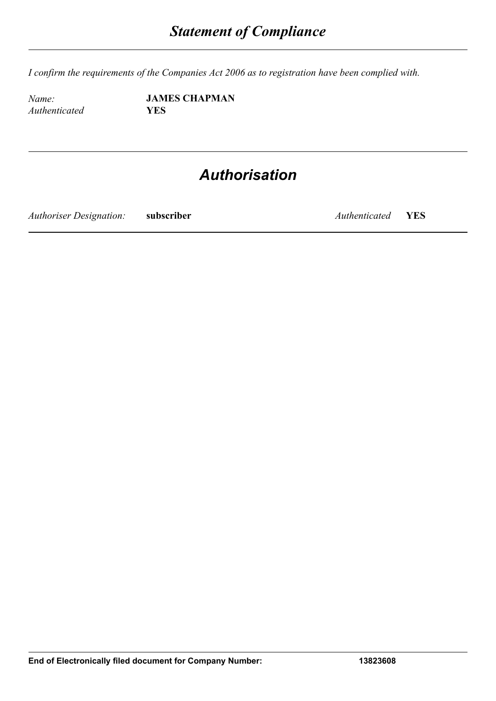*I confirm the requirements of the Companies Act 2006 as to registration have been complied with.*

*Authenticated* **YES**

*Name:* **JAMES CHAPMAN**

## *Authorisation*

*Authoriser Designation:* **subscriber** *Authenticated* **YES**